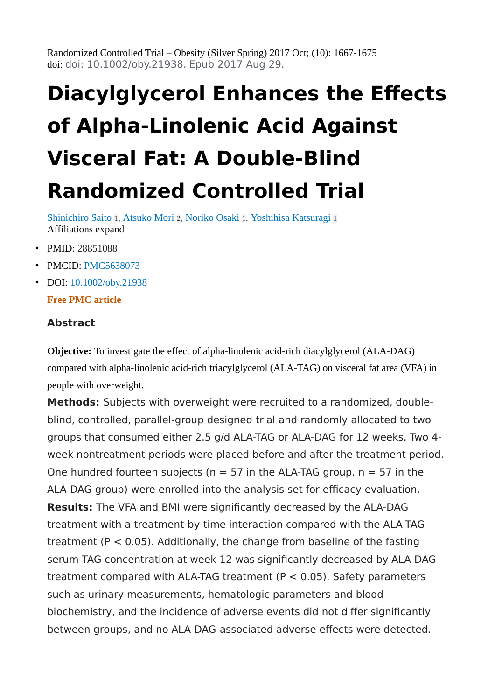Randomized Controlled Trial – Obesity (Silver Spring) 2017 Oct; (10): 1667-1675 doi: doi: 10.1002/oby.21938. Epub 2017 Aug 29.

# **Diacylglycerol Enhances the Effects of Alpha-Linolenic Acid Against Visceral Fat: A Double-Blind Randomized Controlled Trial**

[Shinichiro Saito](https://pubmed.ncbi.nlm.nih.gov/?term=Saito+S&cauthor_id=28851088) [1](https://pubmed.ncbi.nlm.nih.gov/28851088/#affiliation-1), [Atsuko Mori](https://pubmed.ncbi.nlm.nih.gov/?term=Mori+A&cauthor_id=28851088) [2](https://pubmed.ncbi.nlm.nih.gov/28851088/#affiliation-2), [Noriko Osaki](https://pubmed.ncbi.nlm.nih.gov/?term=Osaki+N&cauthor_id=28851088) [1](https://pubmed.ncbi.nlm.nih.gov/28851088/#affiliation-1), [Yoshihisa Katsuragi](https://pubmed.ncbi.nlm.nih.gov/?term=Katsuragi+Y&cauthor_id=28851088) [1](https://pubmed.ncbi.nlm.nih.gov/28851088/#affiliation-1) Affiliations expand

- PMID: 28851088
- PMCID: [PMC5638073](http://www.ncbi.nlm.nih.gov/pmc/articles/pmc5638073/)
- DOI: [10.1002/oby.21938](https://doi.org/10.1002/oby.21938)

#### **Free PMC article**

#### **Abstract**

**Objective:** To investigate the effect of alpha-linolenic acid-rich diacylglycerol (ALA-DAG) compared with alpha-linolenic acid-rich triacylglycerol (ALA-TAG) on visceral fat area (VFA) in people with overweight.

**Methods:** Subjects with overweight were recruited to a randomized, doubleblind, controlled, parallel-group designed trial and randomly allocated to two groups that consumed either 2.5 g/d ALA-TAG or ALA-DAG for 12 weeks. Two 4 week nontreatment periods were placed before and after the treatment period. One hundred fourteen subjects ( $n = 57$  in the ALA-TAG group,  $n = 57$  in the ALA-DAG group) were enrolled into the analysis set for efficacy evaluation. **Results:** The VFA and BMI were significantly decreased by the ALA-DAG treatment with a treatment-by-time interaction compared with the ALA-TAG treatment ( $P < 0.05$ ). Additionally, the change from baseline of the fasting serum TAG concentration at week 12 was significantly decreased by ALA-DAG treatment compared with ALA-TAG treatment (P < 0.05). Safety parameters such as urinary measurements, hematologic parameters and blood biochemistry, and the incidence of adverse events did not differ significantly between groups, and no ALA-DAG-associated adverse effects were detected.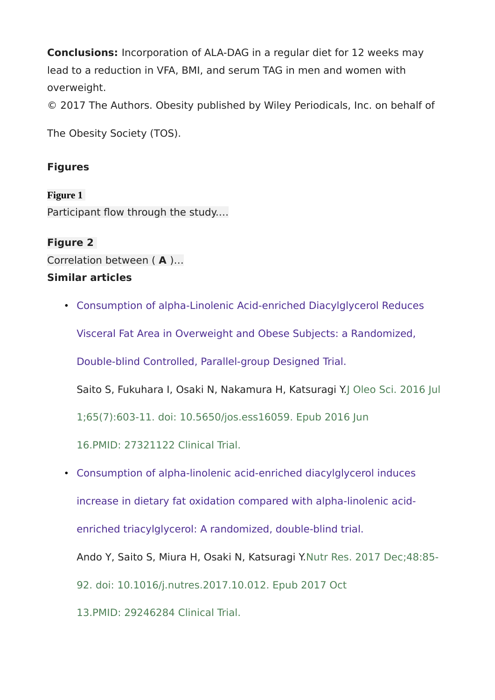**Conclusions:** Incorporation of ALA-DAG in a regular diet for 12 weeks may lead to a reduction in VFA, BMI, and serum TAG in men and women with overweight.

© 2017 The Authors. Obesity published by Wiley Periodicals, Inc. on behalf of

The Obesity Society (TOS).

## **Figures**

**Figure 1** Participant flow through the study.…

### **Figure 2**

Correlation between ( **A** )…

#### **Similar articles**

• [Consumption of alpha-Linolenic Acid-enriched Diacylglycerol Reduces](https://pubmed.ncbi.nlm.nih.gov/27321122/) 

[Visceral Fat Area in Overweight and Obese Subjects: a Randomized,](https://pubmed.ncbi.nlm.nih.gov/27321122/) 

[Double-blind Controlled, Parallel-group Designed Trial.](https://pubmed.ncbi.nlm.nih.gov/27321122/)

Saito S, Fukuhara I, Osaki N, Nakamura H, Katsuragi Y.J Oleo Sci. 2016 Jul

1;65(7):603-11. doi: 10.5650/jos.ess16059. Epub 2016 Jun

16.PMID: 27321122 Clinical Trial.

• [Consumption of alpha-linolenic acid-enriched diacylglycerol induces](https://pubmed.ncbi.nlm.nih.gov/29246284/) 

[increase in dietary fat oxidation compared with alpha-linolenic acid-](https://pubmed.ncbi.nlm.nih.gov/29246284/)

[enriched triacylglycerol: A randomized, double-blind trial.](https://pubmed.ncbi.nlm.nih.gov/29246284/)

Ando Y, Saito S, Miura H, Osaki N, Katsuragi Y.Nutr Res. 2017 Dec;48:85-

92. doi: 10.1016/j.nutres.2017.10.012. Epub 2017 Oct

13.PMID: 29246284 Clinical Trial.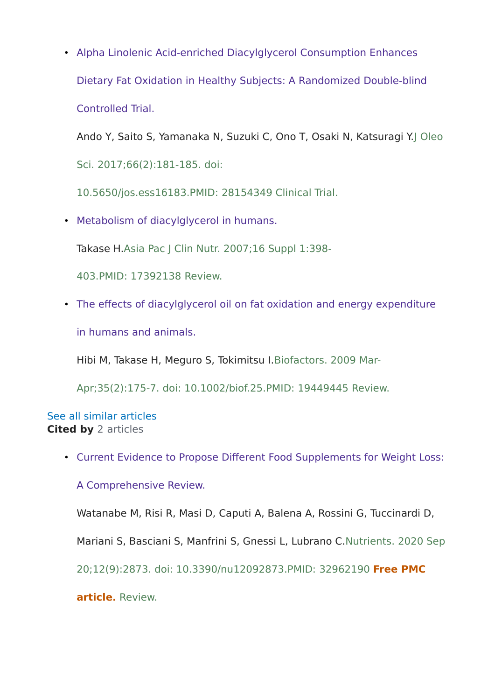• [Alpha Linolenic Acid-enriched Diacylglycerol Consumption Enhances](https://pubmed.ncbi.nlm.nih.gov/28154349/)  [Dietary Fat Oxidation in Healthy Subjects: A Randomized Double-blind](https://pubmed.ncbi.nlm.nih.gov/28154349/)  [Controlled Trial.](https://pubmed.ncbi.nlm.nih.gov/28154349/)

Ando Y, Saito S, Yamanaka N, Suzuki C, Ono T, Osaki N, Katsuragi Y.J Oleo Sci. 2017;66(2):181-185. doi:

10.5650/jos.ess16183.PMID: 28154349 Clinical Trial.

• [Metabolism of diacylglycerol in humans.](https://pubmed.ncbi.nlm.nih.gov/17392138/)

Takase H.Asia Pac J Clin Nutr. 2007;16 Suppl 1:398-

403.PMID: 17392138 Review.

• [The effects of diacylglycerol oil on fat oxidation and energy expenditure](https://pubmed.ncbi.nlm.nih.gov/19449445/)  [in humans and animals.](https://pubmed.ncbi.nlm.nih.gov/19449445/)

Hibi M, Takase H, Meguro S, Tokimitsu I.Biofactors. 2009 Mar-

Apr;35(2):175-7. doi: 10.1002/biof.25.PMID: 19449445 Review.

### See all similar articles **Cited by** 2 articles

• [Current Evidence to Propose Different Food Supplements for Weight Loss:](https://pubmed.ncbi.nlm.nih.gov/32962190/) 

[A Comprehensive Review.](https://pubmed.ncbi.nlm.nih.gov/32962190/)

Watanabe M, Risi R, Masi D, Caputi A, Balena A, Rossini G, Tuccinardi D,

Mariani S, Basciani S, Manfrini S, Gnessi L, Lubrano C.Nutrients. 2020 Sep

20;12(9):2873. doi: 10.3390/nu12092873.PMID: 32962190 **Free PMC** 

**article.** Review.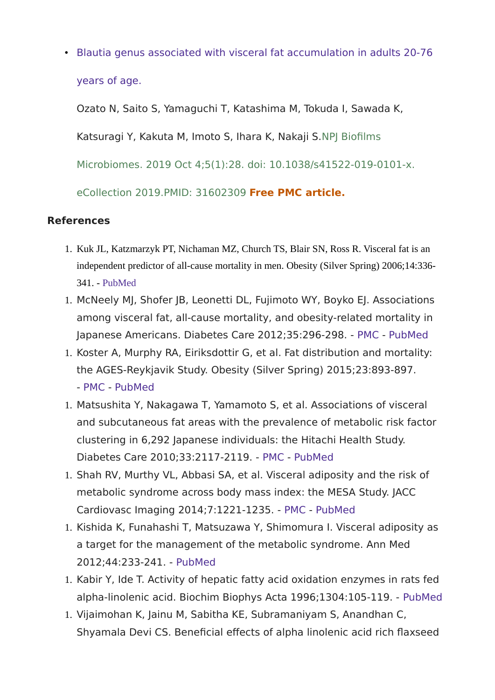• Blautia [genus associated with visceral fat accumulation in adults 20-76](https://pubmed.ncbi.nlm.nih.gov/31602309/)  [years of age.](https://pubmed.ncbi.nlm.nih.gov/31602309/)

Ozato N, Saito S, Yamaguchi T, Katashima M, Tokuda I, Sawada K,

Katsuragi Y, Kakuta M, Imoto S, Ihara K, Nakaji S.NPJ Biofilms

Microbiomes. 2019 Oct 4;5(1):28. doi: 10.1038/s41522-019-0101-x.

eCollection 2019.PMID: 31602309 **Free PMC article.**

## **References**

- 1. Kuk JL, Katzmarzyk PT, Nichaman MZ, Church TS, Blair SN, Ross R. Visceral fat is an independent predictor of all-cause mortality in men. Obesity (Silver Spring) 2006;14:336-341. - [PubMed](https://pubmed.ncbi.nlm.nih.gov/16571861/)
- 1. McNeely MJ, Shofer JB, Leonetti DL, Fujimoto WY, Boyko EJ. Associations among visceral fat, all-cause mortality, and obesity-related mortality in Japanese Americans. Diabetes Care 2012;35:296‐298. - [PMC](http://www.ncbi.nlm.nih.gov/pmc/articles/pmc3263911/) - [PubMed](https://pubmed.ncbi.nlm.nih.gov/22190675/)
- 1. Koster A, Murphy RA, Eiriksdottir G, et al. Fat distribution and mortality: the AGES‐Reykjavik Study. Obesity (Silver Spring) 2015;23:893‐897. - [PMC](http://www.ncbi.nlm.nih.gov/pmc/articles/pmc4758353/) - [PubMed](https://pubmed.ncbi.nlm.nih.gov/25755182/)
- 1. Matsushita Y, Nakagawa T, Yamamoto S, et al. Associations of visceral and subcutaneous fat areas with the prevalence of metabolic risk factor clustering in 6,292 Japanese individuals: the Hitachi Health Study. Diabetes Care 2010;33:2117‐2119. - [PMC](http://www.ncbi.nlm.nih.gov/pmc/articles/pmc2928375/) - [PubMed](https://pubmed.ncbi.nlm.nih.gov/20460443/)
- 1. Shah RV, Murthy VL, Abbasi SA, et al. Visceral adiposity and the risk of metabolic syndrome across body mass index: the MESA Study. JACC Cardiovasc Imaging 2014;7:1221‐1235. - [PMC](http://www.ncbi.nlm.nih.gov/pmc/articles/pmc4268163/) - [PubMed](https://pubmed.ncbi.nlm.nih.gov/25440591/)
- 1. Kishida K, Funahashi T, Matsuzawa Y, Shimomura I. Visceral adiposity as a target for the management of the metabolic syndrome. Ann Med 2012;44:233‐241. - [PubMed](https://pubmed.ncbi.nlm.nih.gov/21612331/)
- 1. Kabir Y, Ide T. Activity of hepatic fatty acid oxidation enzymes in rats fed alpha‐linolenic acid. Biochim Biophys Acta 1996;1304:105‐119. - [PubMed](https://pubmed.ncbi.nlm.nih.gov/8954134/)
- 1. Vijaimohan K, Jainu M, Sabitha KE, Subramaniyam S, Anandhan C, Shyamala Devi CS. Beneficial effects of alpha linolenic acid rich flaxseed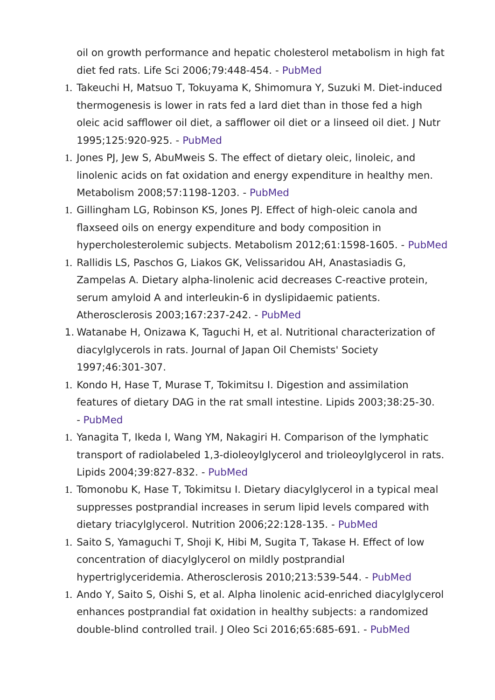oil on growth performance and hepatic cholesterol metabolism in high fat diet fed rats. Life Sci 2006;79:448‐454. - [PubMed](https://pubmed.ncbi.nlm.nih.gov/16490217/)

- 1. Takeuchi H, Matsuo T, Tokuyama K, Shimomura Y, Suzuki M. Diet‐induced thermogenesis is lower in rats fed a lard diet than in those fed a high oleic acid safflower oil diet, a safflower oil diet or a linseed oil diet. J Nutr 1995;125:920‐925. - [PubMed](https://pubmed.ncbi.nlm.nih.gov/7722695/)
- 1. Jones PJ, Jew S, AbuMweis S. The effect of dietary oleic, linoleic, and linolenic acids on fat oxidation and energy expenditure in healthy men. Metabolism 2008;57:1198‐1203. - [PubMed](https://pubmed.ncbi.nlm.nih.gov/18702944/)
- 1. Gillingham LG, Robinson KS, Jones PJ. Effect of high‐oleic canola and flaxseed oils on energy expenditure and body composition in hypercholesterolemic subjects. Metabolism 2012;61:1598‐1605. - [PubMed](https://pubmed.ncbi.nlm.nih.gov/22698766/)
- 1. Rallidis LS, Paschos G, Liakos GK, Velissaridou AH, Anastasiadis G, Zampelas A. Dietary alpha‐linolenic acid decreases C‐reactive protein, serum amyloid A and interleukin‐6 in dyslipidaemic patients. Atherosclerosis 2003;167:237‐242. - [PubMed](https://pubmed.ncbi.nlm.nih.gov/12818406/)
- 1. Watanabe H, Onizawa K, Taguchi H, et al. Nutritional characterization of diacylglycerols in rats. Journal of Japan Oil Chemists' Society 1997;46:301‐307.
- 1. Kondo H, Hase T, Murase T, Tokimitsu I. Digestion and assimilation features of dietary DAG in the rat small intestine. Lipids 2003;38:25‐30. - [PubMed](https://pubmed.ncbi.nlm.nih.gov/12669816/)
- 1. Yanagita T, Ikeda I, Wang YM, Nakagiri H. Comparison of the lymphatic transport of radiolabeled 1,3‐dioleoylglycerol and trioleoylglycerol in rats. Lipids 2004;39:827‐832. - [PubMed](https://pubmed.ncbi.nlm.nih.gov/15669757/)
- 1. Tomonobu K, Hase T, Tokimitsu I. Dietary diacylglycerol in a typical meal suppresses postprandial increases in serum lipid levels compared with dietary triacylglycerol. Nutrition 2006;22:128‐135. - [PubMed](https://pubmed.ncbi.nlm.nih.gov/16459225/)
- 1. Saito S, Yamaguchi T, Shoji K, Hibi M, Sugita T, Takase H. Effect of low concentration of diacylglycerol on mildly postprandial hypertriglyceridemia. Atherosclerosis 2010;213:539‐544. - [PubMed](https://pubmed.ncbi.nlm.nih.gov/20837352/)
- 1. Ando Y, Saito S, Oishi S, et al. Alpha linolenic acid‐enriched diacylglycerol enhances postprandial fat oxidation in healthy subjects: a randomized double‐blind controlled trail. J Oleo Sci 2016;65:685‐691. - [PubMed](https://pubmed.ncbi.nlm.nih.gov/27430386/)